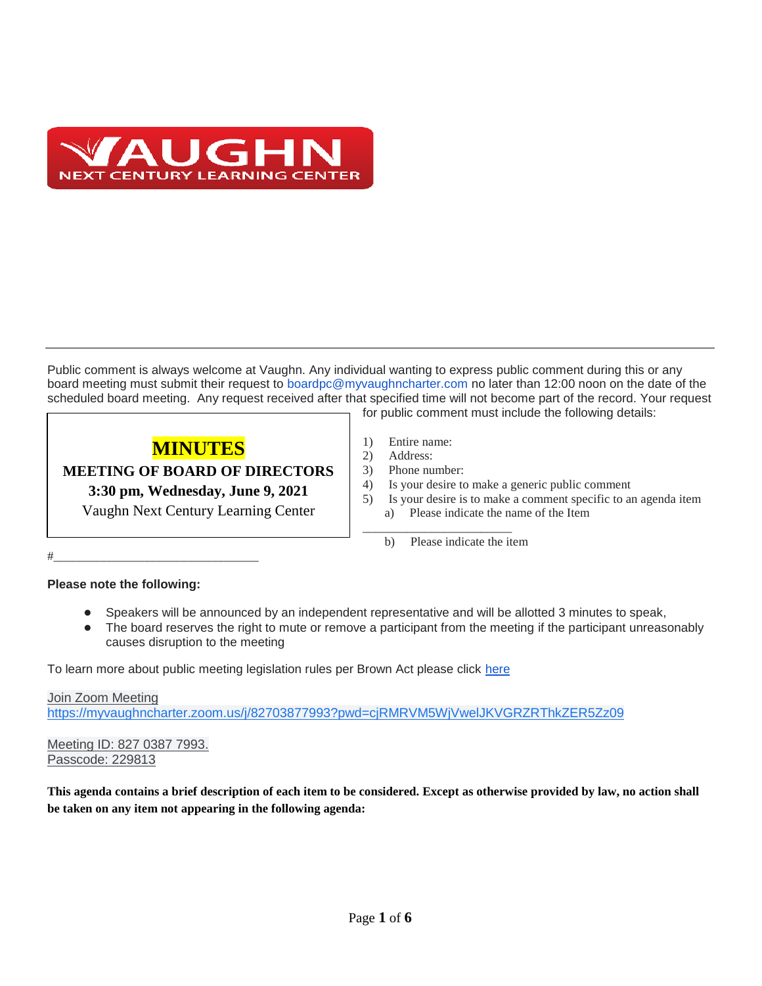

Public comment is always welcome at Vaughn. Any individual wanting to express public comment during this or any board meeting must submit their request to boardpc@myvaughncharter.com no later than 12:00 noon on the date of the scheduled board meeting. Any request received after that specified time will not become part of the record. Your request for public comment must include the following details:

# **MINUTES**

**MEETING OF BOARD OF DIRECTORS**

**3:30 pm, Wednesday, June 9, 2021**

Vaughn Next Century Learning Center

- 1) Entire name:
- 2) Address:
- 3) Phone number:
- 4) Is your desire to make a generic public comment
- 5) Is your desire is to make a comment specific to an agenda item a) Please indicate the name of the Item
- \_\_\_\_\_\_\_\_\_\_\_\_\_\_\_\_\_\_\_\_\_\_\_\_ b) Please indicate the item

### **Please note the following:**

#\_\_\_\_\_\_\_\_\_\_\_\_\_\_\_\_\_\_\_\_\_\_\_\_\_\_\_\_\_\_\_\_\_

- Speakers will be announced by an independent representative and will be allotted 3 minutes to speak,
- The board reserves the right to mute or remove a participant from the meeting if the participant unreasonably causes disruption to the meeting

To learn more about public meeting legislation rules per Brown Act please click [here](https://leginfo.legislature.ca.gov/faces/billTextClient.xhtml?bill_id=201520160AB1787)

Join Zoom Meeting <https://myvaughncharter.zoom.us/j/82703877993?pwd=cjRMRVM5WjVwelJKVGRZRThkZER5Zz09>

Meeting ID: 827 0387 7993. Passcode: 229813

**This agenda contains a brief description of each item to be considered. Except as otherwise provided by law, no action shall be taken on any item not appearing in the following agenda:**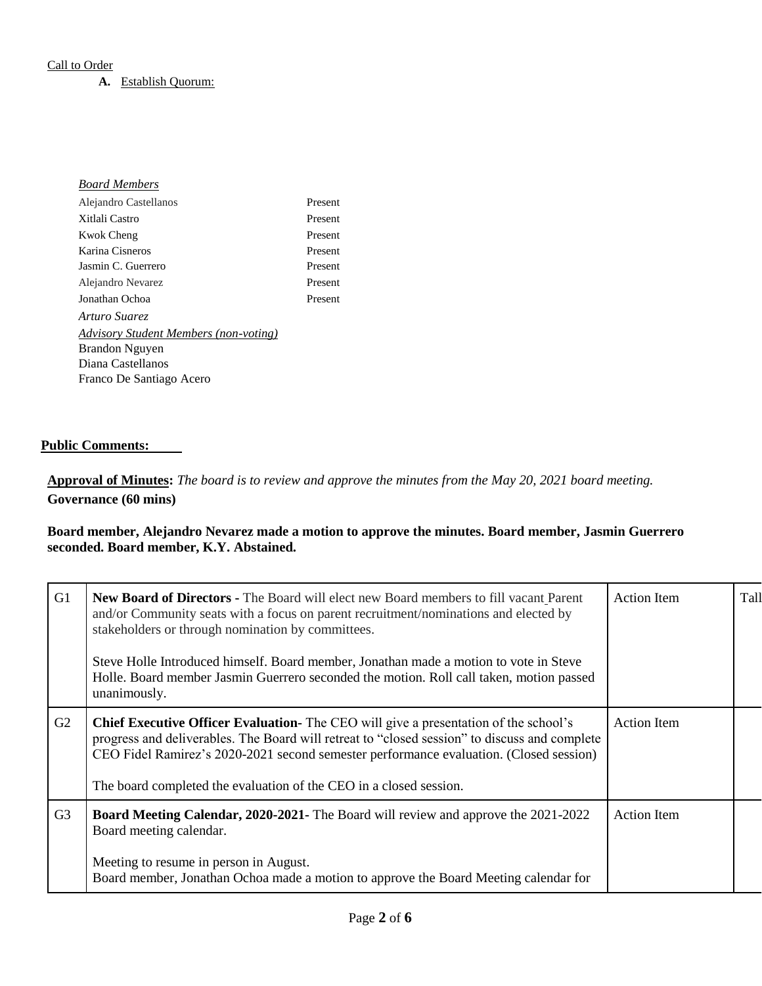#### Call to Order

#### **A.** Establish Quorum:

| <b>Board Members</b>                         |         |
|----------------------------------------------|---------|
| Alejandro Castellanos                        | Present |
| Xitlali Castro                               | Present |
| <b>Kwok Cheng</b>                            | Present |
| Karina Cisneros                              | Present |
| Jasmin C. Guerrero                           | Present |
| Alejandro Nevarez                            | Present |
| Jonathan Ochoa                               | Present |
| Arturo Suarez                                |         |
| <b>Advisory Student Members (non-voting)</b> |         |
| Brandon Nguyen                               |         |
| Diana Castellanos                            |         |
| Franco De Santiago Acero                     |         |
|                                              |         |

#### **Public Comments:**

# **Approval of Minutes:** *The board is to review and approve the minutes from the May 20, 2021 board meeting.* **Governance (60 mins)**

#### **Board member, Alejandro Nevarez made a motion to approve the minutes. Board member, Jasmin Guerrero seconded. Board member, K.Y. Abstained.**

| G <sub>1</sub> | <b>New Board of Directors - The Board will elect new Board members to fill vacant Parent</b><br>and/or Community seats with a focus on parent recruitment/nominations and elected by<br>stakeholders or through nomination by committees.<br>Steve Holle Introduced himself. Board member, Jonathan made a motion to vote in Steve<br>Holle. Board member Jasmin Guerrero seconded the motion. Roll call taken, motion passed<br>unanimously. | <b>Action Item</b> | Tall |
|----------------|-----------------------------------------------------------------------------------------------------------------------------------------------------------------------------------------------------------------------------------------------------------------------------------------------------------------------------------------------------------------------------------------------------------------------------------------------|--------------------|------|
| G2             | <b>Chief Executive Officer Evaluation-</b> The CEO will give a presentation of the school's<br>progress and deliverables. The Board will retreat to "closed session" to discuss and complete<br>CEO Fidel Ramirez's 2020-2021 second semester performance evaluation. (Closed session)<br>The board completed the evaluation of the CEO in a closed session.                                                                                  | <b>Action Item</b> |      |
| G <sub>3</sub> | <b>Board Meeting Calendar, 2020-2021-</b> The Board will review and approve the 2021-2022<br>Board meeting calendar.<br>Meeting to resume in person in August.<br>Board member, Jonathan Ochoa made a motion to approve the Board Meeting calendar for                                                                                                                                                                                        | <b>Action Item</b> |      |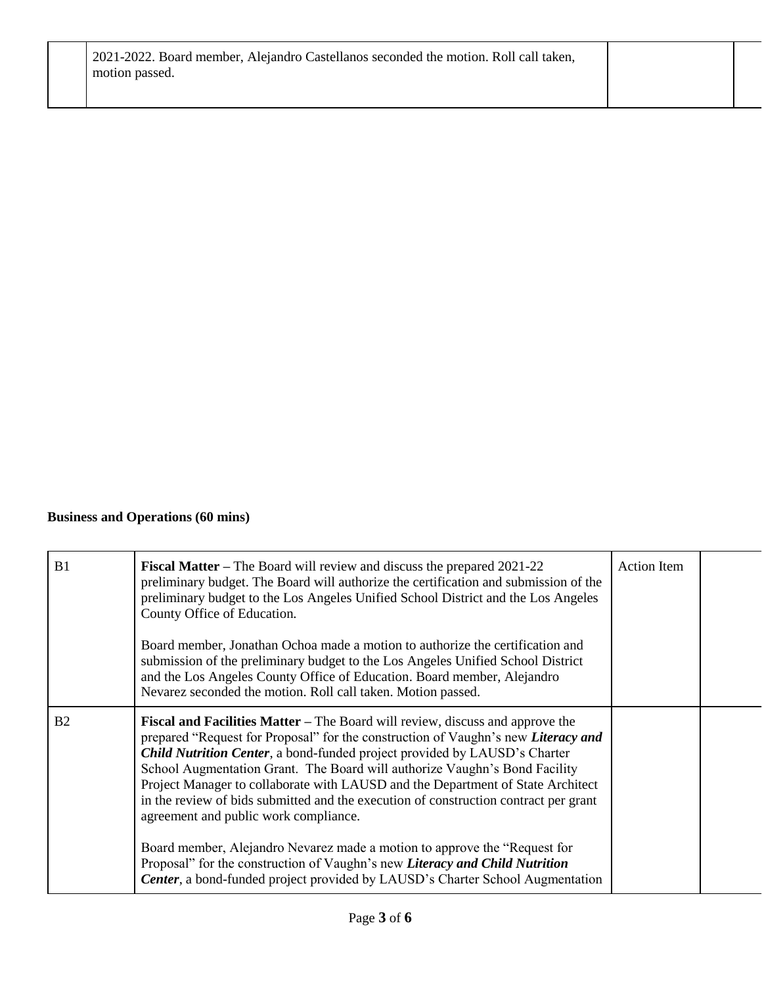# **Business and Operations (60 mins)**

| B1             | <b>Fiscal Matter</b> – The Board will review and discuss the prepared 2021-22<br>preliminary budget. The Board will authorize the certification and submission of the<br>preliminary budget to the Los Angeles Unified School District and the Los Angeles<br>County Office of Education.<br>Board member, Jonathan Ochoa made a motion to authorize the certification and<br>submission of the preliminary budget to the Los Angeles Unified School District<br>and the Los Angeles County Office of Education. Board member, Alejandro<br>Nevarez seconded the motion. Roll call taken. Motion passed.                                                                                                                                                                                                      | <b>Action Item</b> |  |
|----------------|---------------------------------------------------------------------------------------------------------------------------------------------------------------------------------------------------------------------------------------------------------------------------------------------------------------------------------------------------------------------------------------------------------------------------------------------------------------------------------------------------------------------------------------------------------------------------------------------------------------------------------------------------------------------------------------------------------------------------------------------------------------------------------------------------------------|--------------------|--|
| B <sub>2</sub> | <b>Fiscal and Facilities Matter</b> – The Board will review, discuss and approve the<br>prepared "Request for Proposal" for the construction of Vaughn's new Literacy and<br>Child Nutrition Center, a bond-funded project provided by LAUSD's Charter<br>School Augmentation Grant. The Board will authorize Vaughn's Bond Facility<br>Project Manager to collaborate with LAUSD and the Department of State Architect<br>in the review of bids submitted and the execution of construction contract per grant<br>agreement and public work compliance.<br>Board member, Alejandro Nevarez made a motion to approve the "Request for<br>Proposal" for the construction of Vaughn's new Literacy and Child Nutrition<br><b>Center</b> , a bond-funded project provided by LAUSD's Charter School Augmentation |                    |  |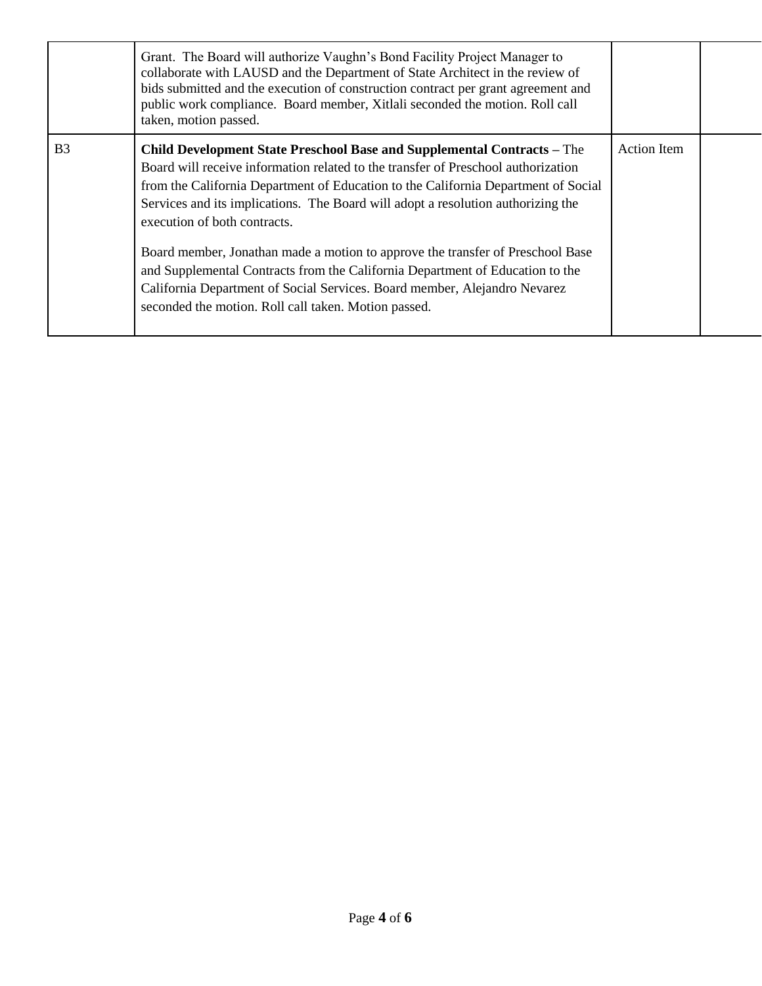|                | Grant. The Board will authorize Vaughn's Bond Facility Project Manager to<br>collaborate with LAUSD and the Department of State Architect in the review of<br>bids submitted and the execution of construction contract per grant agreement and<br>public work compliance. Board member, Xitlali seconded the motion. Roll call<br>taken, motion passed.                                                                                                                                                                                                                                                                                                                       |                    |  |
|----------------|--------------------------------------------------------------------------------------------------------------------------------------------------------------------------------------------------------------------------------------------------------------------------------------------------------------------------------------------------------------------------------------------------------------------------------------------------------------------------------------------------------------------------------------------------------------------------------------------------------------------------------------------------------------------------------|--------------------|--|
| B <sub>3</sub> | Child Development State Preschool Base and Supplemental Contracts - The<br>Board will receive information related to the transfer of Preschool authorization<br>from the California Department of Education to the California Department of Social<br>Services and its implications. The Board will adopt a resolution authorizing the<br>execution of both contracts.<br>Board member, Jonathan made a motion to approve the transfer of Preschool Base<br>and Supplemental Contracts from the California Department of Education to the<br>California Department of Social Services. Board member, Alejandro Nevarez<br>seconded the motion. Roll call taken. Motion passed. | <b>Action Item</b> |  |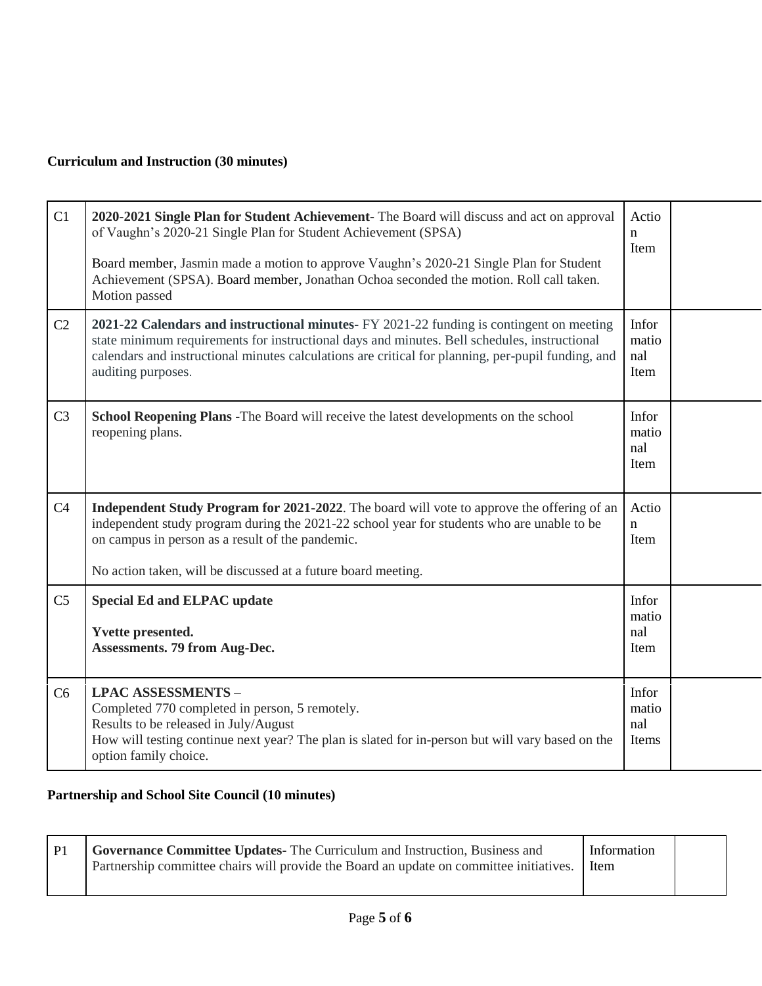# **Curriculum and Instruction (30 minutes)**

| C1             | 2020-2021 Single Plan for Student Achievement- The Board will discuss and act on approval<br>of Vaughn's 2020-21 Single Plan for Student Achievement (SPSA)<br>Board member, Jasmin made a motion to approve Vaughn's 2020-21 Single Plan for Student<br>Achievement (SPSA). Board member, Jonathan Ochoa seconded the motion. Roll call taken.<br>Motion passed | Actio<br>$\mathbf n$<br>Item   |  |
|----------------|------------------------------------------------------------------------------------------------------------------------------------------------------------------------------------------------------------------------------------------------------------------------------------------------------------------------------------------------------------------|--------------------------------|--|
| C2             | 2021-22 Calendars and instructional minutes- FY 2021-22 funding is contingent on meeting<br>state minimum requirements for instructional days and minutes. Bell schedules, instructional<br>calendars and instructional minutes calculations are critical for planning, per-pupil funding, and<br>auditing purposes.                                             | Infor<br>matio<br>nal<br>Item  |  |
| C <sub>3</sub> | <b>School Reopening Plans - The Board will receive the latest developments on the school</b><br>reopening plans.                                                                                                                                                                                                                                                 | Infor<br>matio<br>nal<br>Item  |  |
| C <sub>4</sub> | <b>Independent Study Program for 2021-2022</b> . The board will vote to approve the offering of an<br>independent study program during the 2021-22 school year for students who are unable to be<br>on campus in person as a result of the pandemic.<br>No action taken, will be discussed at a future board meeting.                                            | Actio<br>$\mathbf n$<br>Item   |  |
| C <sub>5</sub> | <b>Special Ed and ELPAC update</b><br><b>Yvette presented.</b><br><b>Assessments. 79 from Aug-Dec.</b>                                                                                                                                                                                                                                                           | Infor<br>matio<br>nal<br>Item  |  |
| C6             | <b>LPAC ASSESSMENTS -</b><br>Completed 770 completed in person, 5 remotely.<br>Results to be released in July/August<br>How will testing continue next year? The plan is slated for in-person but will vary based on the<br>option family choice.                                                                                                                | Infor<br>matio<br>nal<br>Items |  |

# **Partnership and School Site Council (10 minutes)**

|  | <b>Governance Committee Updates-</b> The Curriculum and Instruction, Business and<br>Partnership committee chairs will provide the Board an update on committee initiatives. I Item | Information |  |  |
|--|-------------------------------------------------------------------------------------------------------------------------------------------------------------------------------------|-------------|--|--|
|--|-------------------------------------------------------------------------------------------------------------------------------------------------------------------------------------|-------------|--|--|